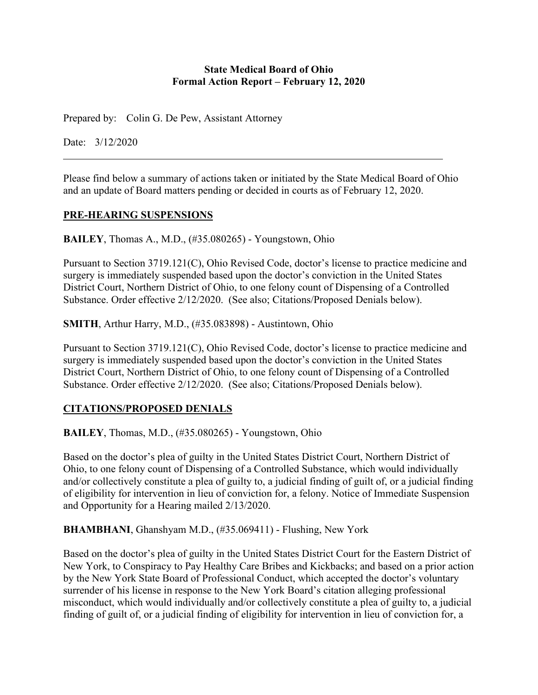### **State Medical Board of Ohio Formal Action Report – February 12, 2020**

Prepared by: Colin G. De Pew, Assistant Attorney

Date: 3/12/2020

Please find below a summary of actions taken or initiated by the State Medical Board of Ohio and an update of Board matters pending or decided in courts as of February 12, 2020.

## **PRE-HEARING SUSPENSIONS**

**BAILEY**, Thomas A., M.D., (#35.080265) - Youngstown, Ohio

Pursuant to Section 3719.121(C), Ohio Revised Code, doctor's license to practice medicine and surgery is immediately suspended based upon the doctor's conviction in the United States District Court, Northern District of Ohio, to one felony count of Dispensing of a Controlled Substance. Order effective 2/12/2020. (See also; Citations/Proposed Denials below).

**SMITH, Arthur Harry, M.D., (#35.083898) - Austintown, Ohio** 

Pursuant to Section 3719.121(C), Ohio Revised Code, doctor's license to practice medicine and surgery is immediately suspended based upon the doctor's conviction in the United States District Court, Northern District of Ohio, to one felony count of Dispensing of a Controlled Substance. Order effective 2/12/2020. (See also; Citations/Proposed Denials below).

## **CITATIONS/PROPOSED DENIALS**

**BAILEY**, Thomas, M.D., (#35.080265) - Youngstown, Ohio

Based on the doctor's plea of guilty in the United States District Court, Northern District of Ohio, to one felony count of Dispensing of a Controlled Substance, which would individually and/or collectively constitute a plea of guilty to, a judicial finding of guilt of, or a judicial finding of eligibility for intervention in lieu of conviction for, a felony. Notice of Immediate Suspension and Opportunity for a Hearing mailed 2/13/2020.

**BHAMBHANI**, Ghanshyam M.D., (#35.069411) - Flushing, New York

Based on the doctor's plea of guilty in the United States District Court for the Eastern District of New York, to Conspiracy to Pay Healthy Care Bribes and Kickbacks; and based on a prior action by the New York State Board of Professional Conduct, which accepted the doctor's voluntary surrender of his license in response to the New York Board's citation alleging professional misconduct, which would individually and/or collectively constitute a plea of guilty to, a judicial finding of guilt of, or a judicial finding of eligibility for intervention in lieu of conviction for, a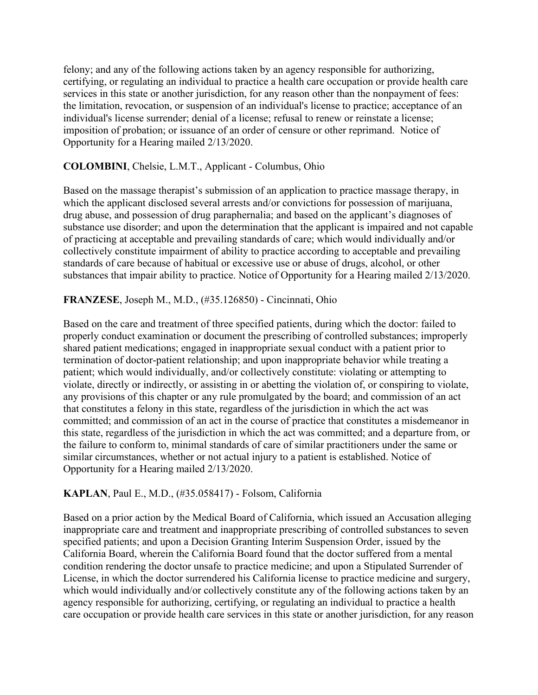felony; and any of the following actions taken by an agency responsible for authorizing, certifying, or regulating an individual to practice a health care occupation or provide health care services in this state or another jurisdiction, for any reason other than the nonpayment of fees: the limitation, revocation, or suspension of an individual's license to practice; acceptance of an individual's license surrender; denial of a license; refusal to renew or reinstate a license; imposition of probation; or issuance of an order of censure or other reprimand. Notice of Opportunity for a Hearing mailed 2/13/2020.

### **COLOMBINI**, Chelsie, L.M.T., Applicant - Columbus, Ohio

Based on the massage therapist's submission of an application to practice massage therapy, in which the applicant disclosed several arrests and/or convictions for possession of marijuana, drug abuse, and possession of drug paraphernalia; and based on the applicant's diagnoses of substance use disorder; and upon the determination that the applicant is impaired and not capable of practicing at acceptable and prevailing standards of care; which would individually and/or collectively constitute impairment of ability to practice according to acceptable and prevailing standards of care because of habitual or excessive use or abuse of drugs, alcohol, or other substances that impair ability to practice. Notice of Opportunity for a Hearing mailed 2/13/2020.

### **FRANZESE**, Joseph M., M.D., (#35.126850) - Cincinnati, Ohio

Based on the care and treatment of three specified patients, during which the doctor: failed to properly conduct examination or document the prescribing of controlled substances; improperly shared patient medications; engaged in inappropriate sexual conduct with a patient prior to termination of doctor-patient relationship; and upon inappropriate behavior while treating a patient; which would individually, and/or collectively constitute: violating or attempting to violate, directly or indirectly, or assisting in or abetting the violation of, or conspiring to violate, any provisions of this chapter or any rule promulgated by the board; and commission of an act that constitutes a felony in this state, regardless of the jurisdiction in which the act was committed; and commission of an act in the course of practice that constitutes a misdemeanor in this state, regardless of the jurisdiction in which the act was committed; and a departure from, or the failure to conform to, minimal standards of care of similar practitioners under the same or similar circumstances, whether or not actual injury to a patient is established. Notice of Opportunity for a Hearing mailed 2/13/2020.

## **KAPLAN**, Paul E., M.D., (#35.058417) - Folsom, California

Based on a prior action by the Medical Board of California, which issued an Accusation alleging inappropriate care and treatment and inappropriate prescribing of controlled substances to seven specified patients; and upon a Decision Granting Interim Suspension Order, issued by the California Board, wherein the California Board found that the doctor suffered from a mental condition rendering the doctor unsafe to practice medicine; and upon a Stipulated Surrender of License, in which the doctor surrendered his California license to practice medicine and surgery, which would individually and/or collectively constitute any of the following actions taken by an agency responsible for authorizing, certifying, or regulating an individual to practice a health care occupation or provide health care services in this state or another jurisdiction, for any reason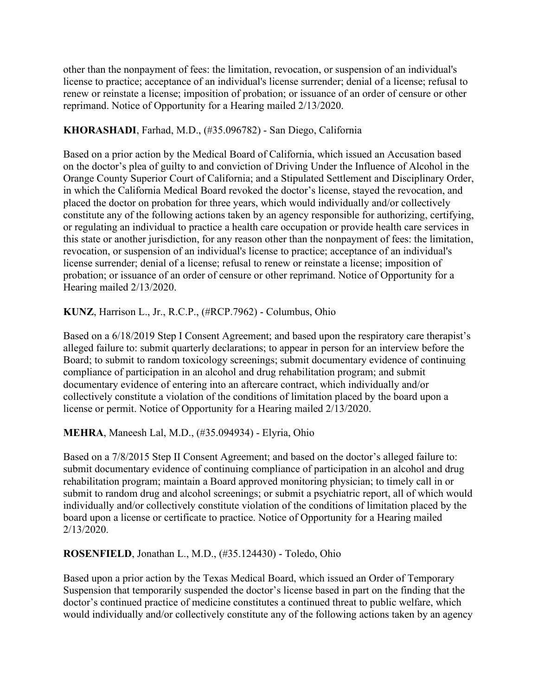other than the nonpayment of fees: the limitation, revocation, or suspension of an individual's license to practice; acceptance of an individual's license surrender; denial of a license; refusal to renew or reinstate a license; imposition of probation; or issuance of an order of censure or other reprimand. Notice of Opportunity for a Hearing mailed 2/13/2020.

# **KHORASHADI**, Farhad, M.D., (#35.096782) - San Diego, California

Based on a prior action by the Medical Board of California, which issued an Accusation based on the doctor's plea of guilty to and conviction of Driving Under the Influence of Alcohol in the Orange County Superior Court of California; and a Stipulated Settlement and Disciplinary Order, in which the California Medical Board revoked the doctor's license, stayed the revocation, and placed the doctor on probation for three years, which would individually and/or collectively constitute any of the following actions taken by an agency responsible for authorizing, certifying, or regulating an individual to practice a health care occupation or provide health care services in this state or another jurisdiction, for any reason other than the nonpayment of fees: the limitation, revocation, or suspension of an individual's license to practice; acceptance of an individual's license surrender; denial of a license; refusal to renew or reinstate a license; imposition of probation; or issuance of an order of censure or other reprimand. Notice of Opportunity for a Hearing mailed 2/13/2020.

**KUNZ**, Harrison L., Jr., R.C.P., (#RCP.7962) - Columbus, Ohio

Based on a 6/18/2019 Step I Consent Agreement; and based upon the respiratory care therapist's alleged failure to: submit quarterly declarations; to appear in person for an interview before the Board; to submit to random toxicology screenings; submit documentary evidence of continuing compliance of participation in an alcohol and drug rehabilitation program; and submit documentary evidence of entering into an aftercare contract, which individually and/or collectively constitute a violation of the conditions of limitation placed by the board upon a license or permit. Notice of Opportunity for a Hearing mailed 2/13/2020.

**MEHRA**, Maneesh Lal, M.D., (#35.094934) - Elyria, Ohio

Based on a 7/8/2015 Step II Consent Agreement; and based on the doctor's alleged failure to: submit documentary evidence of continuing compliance of participation in an alcohol and drug rehabilitation program; maintain a Board approved monitoring physician; to timely call in or submit to random drug and alcohol screenings; or submit a psychiatric report, all of which would individually and/or collectively constitute violation of the conditions of limitation placed by the board upon a license or certificate to practice. Notice of Opportunity for a Hearing mailed 2/13/2020.

**ROSENFIELD**, Jonathan L., M.D., (#35.124430) - Toledo, Ohio

Based upon a prior action by the Texas Medical Board, which issued an Order of Temporary Suspension that temporarily suspended the doctor's license based in part on the finding that the doctor's continued practice of medicine constitutes a continued threat to public welfare, which would individually and/or collectively constitute any of the following actions taken by an agency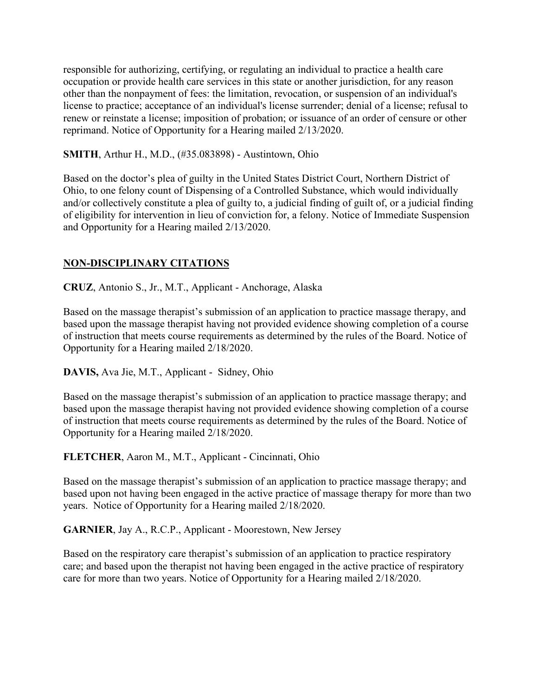responsible for authorizing, certifying, or regulating an individual to practice a health care occupation or provide health care services in this state or another jurisdiction, for any reason other than the nonpayment of fees: the limitation, revocation, or suspension of an individual's license to practice; acceptance of an individual's license surrender; denial of a license; refusal to renew or reinstate a license; imposition of probation; or issuance of an order of censure or other reprimand. Notice of Opportunity for a Hearing mailed 2/13/2020.

**SMITH**, Arthur H., M.D., (#35.083898) - Austintown, Ohio

Based on the doctor's plea of guilty in the United States District Court, Northern District of Ohio, to one felony count of Dispensing of a Controlled Substance, which would individually and/or collectively constitute a plea of guilty to, a judicial finding of guilt of, or a judicial finding of eligibility for intervention in lieu of conviction for, a felony. Notice of Immediate Suspension and Opportunity for a Hearing mailed 2/13/2020.

# **NON-DISCIPLINARY CITATIONS**

**CRUZ**, Antonio S., Jr., M.T., Applicant - Anchorage, Alaska

Based on the massage therapist's submission of an application to practice massage therapy, and based upon the massage therapist having not provided evidence showing completion of a course of instruction that meets course requirements as determined by the rules of the Board. Notice of Opportunity for a Hearing mailed 2/18/2020.

**DAVIS,** Ava Jie, M.T., Applicant - Sidney, Ohio

Based on the massage therapist's submission of an application to practice massage therapy; and based upon the massage therapist having not provided evidence showing completion of a course of instruction that meets course requirements as determined by the rules of the Board. Notice of Opportunity for a Hearing mailed 2/18/2020.

**FLETCHER**, Aaron M., M.T., Applicant - Cincinnati, Ohio

Based on the massage therapist's submission of an application to practice massage therapy; and based upon not having been engaged in the active practice of massage therapy for more than two years. Notice of Opportunity for a Hearing mailed 2/18/2020.

**GARNIER**, Jay A., R.C.P., Applicant - Moorestown, New Jersey

Based on the respiratory care therapist's submission of an application to practice respiratory care; and based upon the therapist not having been engaged in the active practice of respiratory care for more than two years. Notice of Opportunity for a Hearing mailed 2/18/2020.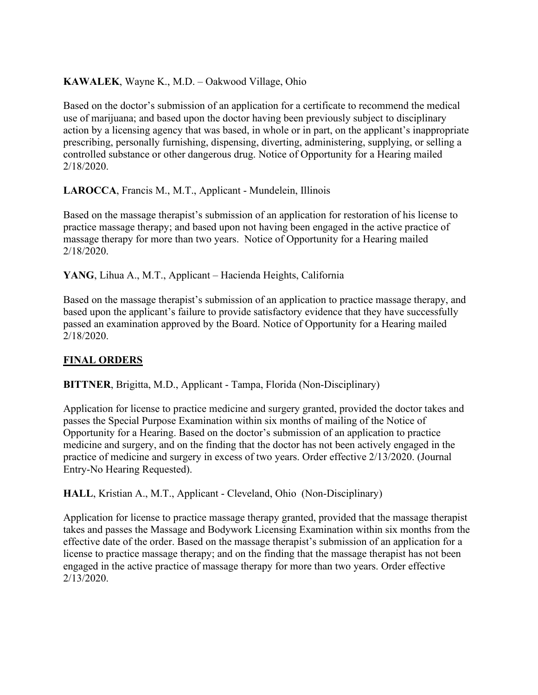## **KAWALEK**, Wayne K., M.D. – Oakwood Village, Ohio

Based on the doctor's submission of an application for a certificate to recommend the medical use of marijuana; and based upon the doctor having been previously subject to disciplinary action by a licensing agency that was based, in whole or in part, on the applicant's inappropriate prescribing, personally furnishing, dispensing, diverting, administering, supplying, or selling a controlled substance or other dangerous drug. Notice of Opportunity for a Hearing mailed 2/18/2020.

# **LAROCCA**, Francis M., M.T., Applicant - Mundelein, Illinois

Based on the massage therapist's submission of an application for restoration of his license to practice massage therapy; and based upon not having been engaged in the active practice of massage therapy for more than two years. Notice of Opportunity for a Hearing mailed 2/18/2020.

**YANG**, Lihua A., M.T., Applicant – Hacienda Heights, California

Based on the massage therapist's submission of an application to practice massage therapy, and based upon the applicant's failure to provide satisfactory evidence that they have successfully passed an examination approved by the Board. Notice of Opportunity for a Hearing mailed 2/18/2020.

# **FINAL ORDERS**

**BITTNER**, Brigitta, M.D., Applicant - Tampa, Florida (Non-Disciplinary)

Application for license to practice medicine and surgery granted, provided the doctor takes and passes the Special Purpose Examination within six months of mailing of the Notice of Opportunity for a Hearing. Based on the doctor's submission of an application to practice medicine and surgery, and on the finding that the doctor has not been actively engaged in the practice of medicine and surgery in excess of two years. Order effective 2/13/2020. (Journal Entry-No Hearing Requested).

**HALL**, Kristian A., M.T., Applicant - Cleveland, Ohio (Non-Disciplinary)

Application for license to practice massage therapy granted, provided that the massage therapist takes and passes the Massage and Bodywork Licensing Examination within six months from the effective date of the order. Based on the massage therapist's submission of an application for a license to practice massage therapy; and on the finding that the massage therapist has not been engaged in the active practice of massage therapy for more than two years. Order effective 2/13/2020.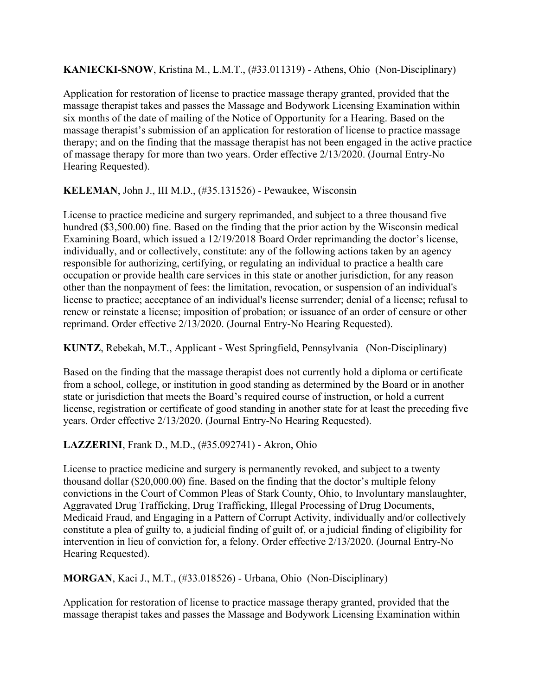## **KANIECKI-SNOW**, Kristina M., L.M.T., (#33.011319) - Athens, Ohio (Non-Disciplinary)

Application for restoration of license to practice massage therapy granted, provided that the massage therapist takes and passes the Massage and Bodywork Licensing Examination within six months of the date of mailing of the Notice of Opportunity for a Hearing. Based on the massage therapist's submission of an application for restoration of license to practice massage therapy; and on the finding that the massage therapist has not been engaged in the active practice of massage therapy for more than two years. Order effective 2/13/2020. (Journal Entry-No Hearing Requested).

**KELEMAN**, John J., III M.D., (#35.131526) - Pewaukee, Wisconsin

License to practice medicine and surgery reprimanded, and subject to a three thousand five hundred (\$3,500.00) fine. Based on the finding that the prior action by the Wisconsin medical Examining Board, which issued a 12/19/2018 Board Order reprimanding the doctor's license, individually, and or collectively, constitute: any of the following actions taken by an agency responsible for authorizing, certifying, or regulating an individual to practice a health care occupation or provide health care services in this state or another jurisdiction, for any reason other than the nonpayment of fees: the limitation, revocation, or suspension of an individual's license to practice; acceptance of an individual's license surrender; denial of a license; refusal to renew or reinstate a license; imposition of probation; or issuance of an order of censure or other reprimand. Order effective 2/13/2020. (Journal Entry-No Hearing Requested).

**KUNTZ**, Rebekah, M.T., Applicant - West Springfield, Pennsylvania (Non-Disciplinary)

Based on the finding that the massage therapist does not currently hold a diploma or certificate from a school, college, or institution in good standing as determined by the Board or in another state or jurisdiction that meets the Board's required course of instruction, or hold a current license, registration or certificate of good standing in another state for at least the preceding five years. Order effective 2/13/2020. (Journal Entry-No Hearing Requested).

# **LAZZERINI**, Frank D., M.D., (#35.092741) - Akron, Ohio

License to practice medicine and surgery is permanently revoked, and subject to a twenty thousand dollar (\$20,000.00) fine. Based on the finding that the doctor's multiple felony convictions in the Court of Common Pleas of Stark County, Ohio, to Involuntary manslaughter, Aggravated Drug Trafficking, Drug Trafficking, Illegal Processing of Drug Documents, Medicaid Fraud, and Engaging in a Pattern of Corrupt Activity, individually and/or collectively constitute a plea of guilty to, a judicial finding of guilt of, or a judicial finding of eligibility for intervention in lieu of conviction for, a felony. Order effective 2/13/2020. (Journal Entry-No Hearing Requested).

**MORGAN**, Kaci J., M.T., (#33.018526) - Urbana, Ohio (Non-Disciplinary)

Application for restoration of license to practice massage therapy granted, provided that the massage therapist takes and passes the Massage and Bodywork Licensing Examination within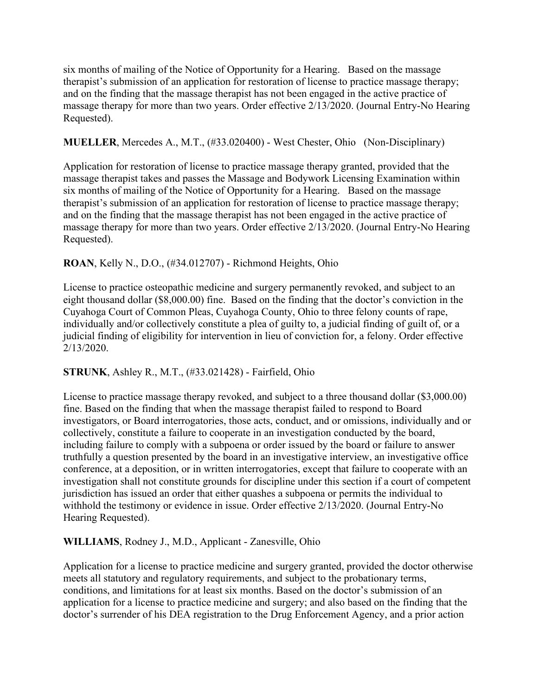six months of mailing of the Notice of Opportunity for a Hearing. Based on the massage therapist's submission of an application for restoration of license to practice massage therapy; and on the finding that the massage therapist has not been engaged in the active practice of massage therapy for more than two years. Order effective 2/13/2020. (Journal Entry-No Hearing Requested).

**MUELLER**, Mercedes A., M.T., (#33.020400) - West Chester, Ohio (Non-Disciplinary)

Application for restoration of license to practice massage therapy granted, provided that the massage therapist takes and passes the Massage and Bodywork Licensing Examination within six months of mailing of the Notice of Opportunity for a Hearing. Based on the massage therapist's submission of an application for restoration of license to practice massage therapy; and on the finding that the massage therapist has not been engaged in the active practice of massage therapy for more than two years. Order effective 2/13/2020. (Journal Entry-No Hearing Requested).

# **ROAN**, Kelly N., D.O., (#34.012707) - Richmond Heights, Ohio

License to practice osteopathic medicine and surgery permanently revoked, and subject to an eight thousand dollar (\$8,000.00) fine. Based on the finding that the doctor's conviction in the Cuyahoga Court of Common Pleas, Cuyahoga County, Ohio to three felony counts of rape, individually and/or collectively constitute a plea of guilty to, a judicial finding of guilt of, or a judicial finding of eligibility for intervention in lieu of conviction for, a felony. Order effective 2/13/2020.

## **STRUNK**, Ashley R., M.T., (#33.021428) - Fairfield, Ohio

License to practice massage therapy revoked, and subject to a three thousand dollar (\$3,000.00) fine. Based on the finding that when the massage therapist failed to respond to Board investigators, or Board interrogatories, those acts, conduct, and or omissions, individually and or collectively, constitute a failure to cooperate in an investigation conducted by the board, including failure to comply with a subpoena or order issued by the board or failure to answer truthfully a question presented by the board in an investigative interview, an investigative office conference, at a deposition, or in written interrogatories, except that failure to cooperate with an investigation shall not constitute grounds for discipline under this section if a court of competent jurisdiction has issued an order that either quashes a subpoena or permits the individual to withhold the testimony or evidence in issue. Order effective 2/13/2020. (Journal Entry-No Hearing Requested).

## **WILLIAMS**, Rodney J., M.D., Applicant - Zanesville, Ohio

Application for a license to practice medicine and surgery granted, provided the doctor otherwise meets all statutory and regulatory requirements, and subject to the probationary terms, conditions, and limitations for at least six months. Based on the doctor's submission of an application for a license to practice medicine and surgery; and also based on the finding that the doctor's surrender of his DEA registration to the Drug Enforcement Agency, and a prior action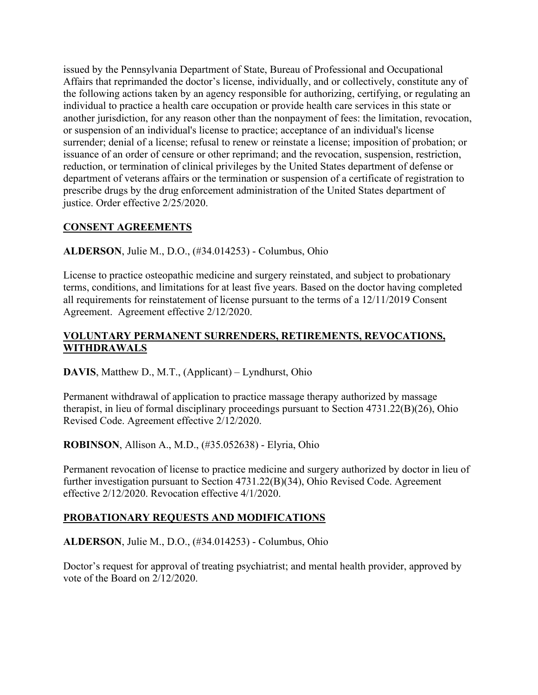issued by the Pennsylvania Department of State, Bureau of Professional and Occupational Affairs that reprimanded the doctor's license, individually, and or collectively, constitute any of the following actions taken by an agency responsible for authorizing, certifying, or regulating an individual to practice a health care occupation or provide health care services in this state or another jurisdiction, for any reason other than the nonpayment of fees: the limitation, revocation, or suspension of an individual's license to practice; acceptance of an individual's license surrender; denial of a license; refusal to renew or reinstate a license; imposition of probation; or issuance of an order of censure or other reprimand; and the revocation, suspension, restriction, reduction, or termination of clinical privileges by the United States department of defense or department of veterans affairs or the termination or suspension of a certificate of registration to prescribe drugs by the drug enforcement administration of the United States department of justice. Order effective 2/25/2020.

# **CONSENT AGREEMENTS**

**ALDERSON**, Julie M., D.O., (#34.014253) - Columbus, Ohio

License to practice osteopathic medicine and surgery reinstated, and subject to probationary terms, conditions, and limitations for at least five years. Based on the doctor having completed all requirements for reinstatement of license pursuant to the terms of a 12/11/2019 Consent Agreement. Agreement effective 2/12/2020.

## **VOLUNTARY PERMANENT SURRENDERS, RETIREMENTS, REVOCATIONS, WITHDRAWALS**

**DAVIS**, Matthew D., M.T., (Applicant) – Lyndhurst, Ohio

Permanent withdrawal of application to practice massage therapy authorized by massage therapist, in lieu of formal disciplinary proceedings pursuant to Section 4731.22(B)(26), Ohio Revised Code. Agreement effective 2/12/2020.

**ROBINSON**, Allison A., M.D., (#35.052638) - Elyria, Ohio

Permanent revocation of license to practice medicine and surgery authorized by doctor in lieu of further investigation pursuant to Section 4731.22(B)(34), Ohio Revised Code. Agreement effective 2/12/2020. Revocation effective 4/1/2020.

## **PROBATIONARY REQUESTS AND MODIFICATIONS**

**ALDERSON**, Julie M., D.O., (#34.014253) - Columbus, Ohio

Doctor's request for approval of treating psychiatrist; and mental health provider, approved by vote of the Board on 2/12/2020.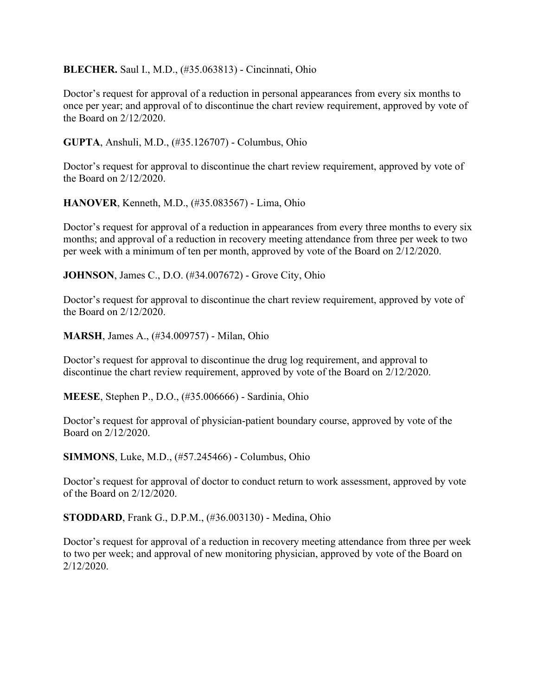**BLECHER.** Saul I., M.D., (#35.063813) - Cincinnati, Ohio

Doctor's request for approval of a reduction in personal appearances from every six months to once per year; and approval of to discontinue the chart review requirement, approved by vote of the Board on 2/12/2020.

**GUPTA**, Anshuli, M.D., (#35.126707) - Columbus, Ohio

Doctor's request for approval to discontinue the chart review requirement, approved by vote of the Board on 2/12/2020.

**HANOVER**, Kenneth, M.D., (#35.083567) - Lima, Ohio

Doctor's request for approval of a reduction in appearances from every three months to every six months; and approval of a reduction in recovery meeting attendance from three per week to two per week with a minimum of ten per month, approved by vote of the Board on 2/12/2020.

**JOHNSON**, James C., D.O. (#34.007672) - Grove City, Ohio

Doctor's request for approval to discontinue the chart review requirement, approved by vote of the Board on 2/12/2020.

**MARSH**, James A., (#34.009757) - Milan, Ohio

Doctor's request for approval to discontinue the drug log requirement, and approval to discontinue the chart review requirement, approved by vote of the Board on 2/12/2020.

**MEESE**, Stephen P., D.O., (#35.006666) - Sardinia, Ohio

Doctor's request for approval of physician-patient boundary course, approved by vote of the Board on 2/12/2020.

**SIMMONS**, Luke, M.D., (#57.245466) - Columbus, Ohio

Doctor's request for approval of doctor to conduct return to work assessment, approved by vote of the Board on 2/12/2020.

**STODDARD**, Frank G., D.P.M., (#36.003130) - Medina, Ohio

Doctor's request for approval of a reduction in recovery meeting attendance from three per week to two per week; and approval of new monitoring physician, approved by vote of the Board on 2/12/2020.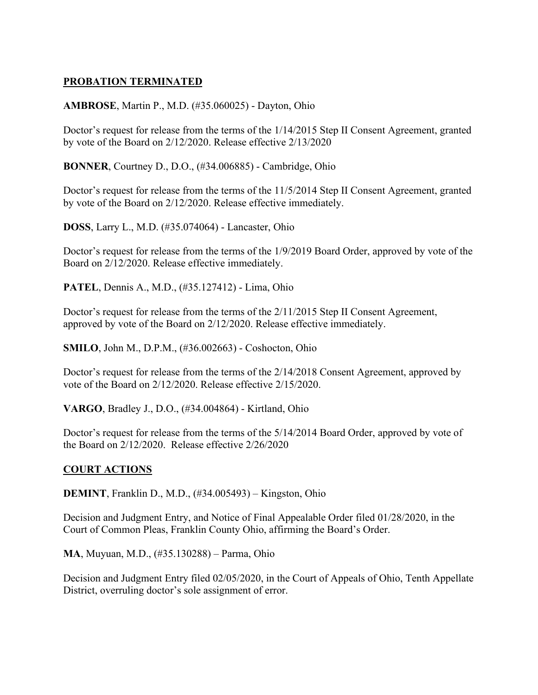# **PROBATION TERMINATED**

### **AMBROSE**, Martin P., M.D. (#35.060025) - Dayton, Ohio

Doctor's request for release from the terms of the 1/14/2015 Step II Consent Agreement, granted by vote of the Board on 2/12/2020. Release effective 2/13/2020

**BONNER**, Courtney D., D.O., (#34.006885) - Cambridge, Ohio

Doctor's request for release from the terms of the 11/5/2014 Step II Consent Agreement, granted by vote of the Board on 2/12/2020. Release effective immediately.

**DOSS**, Larry L., M.D. (#35.074064) - Lancaster, Ohio

Doctor's request for release from the terms of the 1/9/2019 Board Order, approved by vote of the Board on 2/12/2020. Release effective immediately.

**PATEL**, Dennis A., M.D., (#35.127412) - Lima, Ohio

Doctor's request for release from the terms of the 2/11/2015 Step II Consent Agreement, approved by vote of the Board on 2/12/2020. Release effective immediately.

**SMILO**, John M., D.P.M., (#36.002663) - Coshocton, Ohio

Doctor's request for release from the terms of the 2/14/2018 Consent Agreement, approved by vote of the Board on 2/12/2020. Release effective 2/15/2020.

**VARGO**, Bradley J., D.O., (#34.004864) - Kirtland, Ohio

Doctor's request for release from the terms of the 5/14/2014 Board Order, approved by vote of the Board on 2/12/2020. Release effective 2/26/2020

## **COURT ACTIONS**

**DEMINT**, Franklin D., M.D., (#34.005493) – Kingston, Ohio

Decision and Judgment Entry, and Notice of Final Appealable Order filed 01/28/2020, in the Court of Common Pleas, Franklin County Ohio, affirming the Board's Order.

**MA**, Muyuan, M.D., (#35.130288) – Parma, Ohio

Decision and Judgment Entry filed 02/05/2020, in the Court of Appeals of Ohio, Tenth Appellate District, overruling doctor's sole assignment of error.